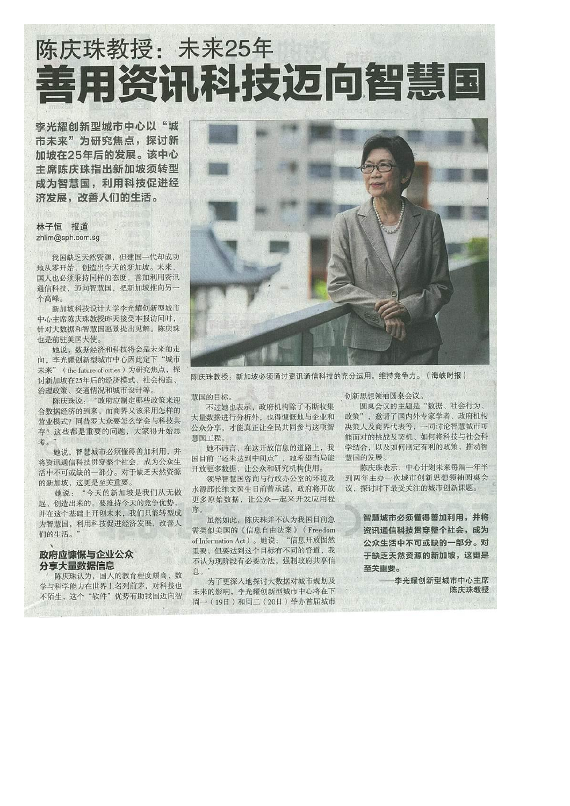## 陈庆珠教授: 未来25年 善用资讯科技迈向智慧国

李光耀创新型城市中心以"城 市未来"为研究焦点,探讨新 加坡在25年后的发展。该中心 主席陈庆珠指出新加坡须转型 成为智慧国, 利用科技促进经 济发展,改善人们的生活。

## 林子恒 报道 zhlim@sph.com.sg

我国缺乏天然资源,但建国一代却成功 地从零开始, 创造出今天的新加坡。未来, 国人也必须秉持同样的态度, 善加利用资讯 通信科技, 迈向智慧国, 把新加坡推向另一 个高峰。

新加坡科技设计大学李光耀创新型城市 中心主席陈庆珠教授昨天接受本报访问时, 针对大数据和智慧国愿景提出见解。陈庆珠 也是前驻美国大使。

她说, 数据经济和科技将会是未来的走 向,李光耀创新型城市中心因此定下"城市 未来" (the future of cities) 为研究焦点, 探 讨新加坡在25年后的经济模式、社会构造、 治理政策、交通情况和城市设计等。

陈庆珠说: "政府应制定哪些政策来迎 合数据经济的到来,而商界又该采用怎样的 营业模式? 同普罗大众要怎么学会与科技共 存?这些都是重要的问题, 大家得开始思 考。"

她说,智慧城市必须懂得善加利用,并 将资讯通信科技贯穿整个社会, 成为公众生 活中不可或缺的一部分。对于缺乏天然资源 的新加坡,这更是至关重要。

她说: "今天的新加坡是我们从无做 起、创造出来的。要维持今天的竞争优势, 并在这个基础上开创未来, 我们只能转型成 为智慧国, 利用科技促进经济发展, 改善人 们的生活。"

## 政府应慷慨与企业公众 分享大量数据信息

陈庆珠认为,国人的教育程度颇高,数 学与科学能力在世界上名列前茅, 对科技也 不陌生, 这个"软件"优势有助我国迈向智



陈庆珠教授: 新加坡必须通过资讯通信科技的充分运用, 维持竞争力。(海峡时报)

慧国的目标。

不过她也表示, 政府机构除了不断收集 大量数据进行分析外, 也得慷慨地与企业和 公众分享,才能真正让全民共同参与这项智 慧国工程。

她不讳言, 在这开放信息的道路上, 我 国目前"还未达到中间点",她希望当局能 开放更多数据, 让公众和研究机构使用。

领导智慧国咨询与行政办公室的环境及 水源部长维文医生日前曾承诺, 政府将开放 更多原始数据, 让公众一起来开发应用程 序。

虽然如此, 陈庆珠并不认为我国目前急 需类似美国的《信息自由法案》(Freedom of Information Act)。她说: "信息开放固然 重要,但要达到这个目标有不同的管道, 我 不认为现阶段有必要立法, 强制政府共享信 息。"

为了更深入地探讨大数据对城市规划及 未来的影响, 李光耀创新型城市中心将在下 周一(19日)和周二(20日)举办首届城市 创新思想领袖圆桌会议。

圆桌会议的主题是"数据、社会行为、 政策", 邀请了国内外专家学者、政府机构 决策人及商界代表等, 一同讨论智慧城市可 能面对的挑战及契机、如何将科技与社会科 学结合, 以及如何制定有利的政策, 推动智 慧国的发展。

陈庆珠表示, 中心计划未来每隔一年半 到两年主办一次城市创新思想领袖圆桌会 议, 探讨时下最受关注的城市创新课题。

> 智慧城市必须懂得善加利用**,并**将 资讯通信科技贯穿整个社会,成为 公众生活中不可或缺的一部分。对 于缺乏天然资源的新加坡,这更是 至关重要。

——李光耀创新型城市中心主席 陈庆珠教授